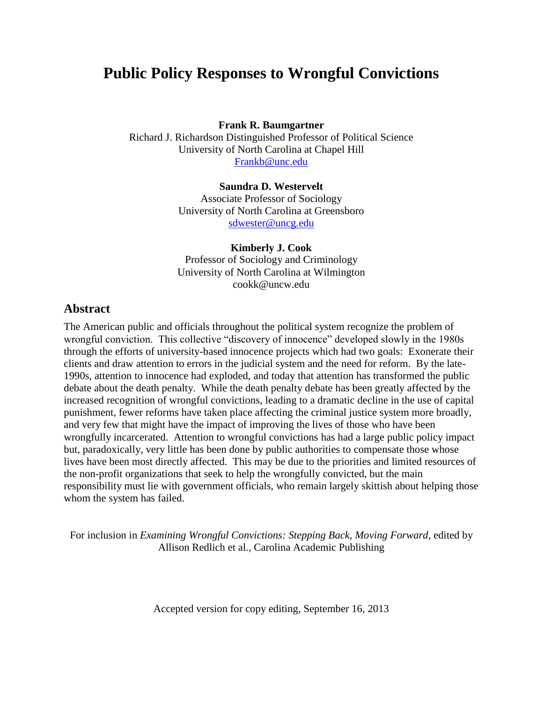# **Public Policy Responses to Wrongful Convictions**

**Frank R. Baumgartner**

Richard J. Richardson Distinguished Professor of Political Science University of North Carolina at Chapel Hill [Frankb@unc.edu](mailto:Frankb@unc.edu)

#### **Saundra D. Westervelt**

Associate Professor of Sociology University of North Carolina at Greensboro [sdwester@uncg.edu](mailto:sdwester@uncg.edu)

**Kimberly J. Cook** Professor of Sociology and Criminology University of North Carolina at Wilmington cookk@uncw.edu

# **Abstract**

The American public and officials throughout the political system recognize the problem of wrongful conviction. This collective "discovery of innocence" developed slowly in the 1980s through the efforts of university-based innocence projects which had two goals: Exonerate their clients and draw attention to errors in the judicial system and the need for reform. By the late-1990s, attention to innocence had exploded, and today that attention has transformed the public debate about the death penalty. While the death penalty debate has been greatly affected by the increased recognition of wrongful convictions, leading to a dramatic decline in the use of capital punishment, fewer reforms have taken place affecting the criminal justice system more broadly, and very few that might have the impact of improving the lives of those who have been wrongfully incarcerated. Attention to wrongful convictions has had a large public policy impact but, paradoxically, very little has been done by public authorities to compensate those whose lives have been most directly affected. This may be due to the priorities and limited resources of the non-profit organizations that seek to help the wrongfully convicted, but the main responsibility must lie with government officials, who remain largely skittish about helping those whom the system has failed.

For inclusion in *Examining Wrongful Convictions: Stepping Back, Moving Forward*, edited by Allison Redlich et al., Carolina Academic Publishing

Accepted version for copy editing, September 16, 2013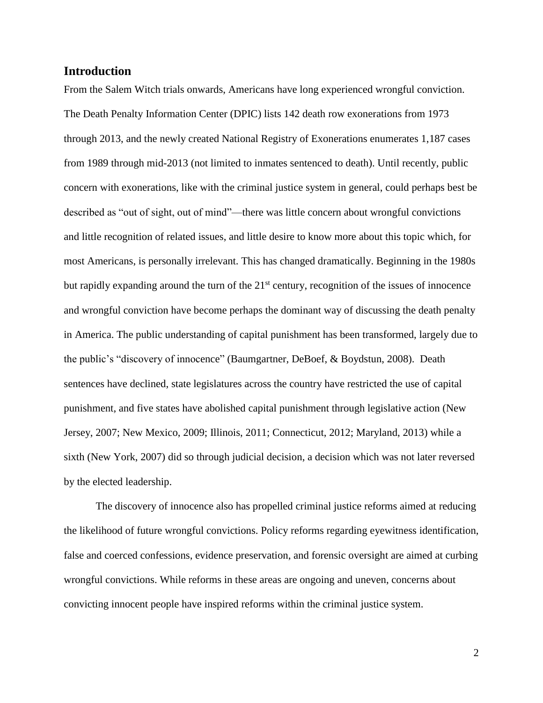# **Introduction**

From the Salem Witch trials onwards, Americans have long experienced wrongful conviction. The Death Penalty Information Center (DPIC) lists 142 death row exonerations from 1973 through 2013, and the newly created National Registry of Exonerations enumerates 1,187 cases from 1989 through mid-2013 (not limited to inmates sentenced to death). Until recently, public concern with exonerations, like with the criminal justice system in general, could perhaps best be described as "out of sight, out of mind"—there was little concern about wrongful convictions and little recognition of related issues, and little desire to know more about this topic which, for most Americans, is personally irrelevant. This has changed dramatically. Beginning in the 1980s but rapidly expanding around the turn of the  $21<sup>st</sup>$  century, recognition of the issues of innocence and wrongful conviction have become perhaps the dominant way of discussing the death penalty in America. The public understanding of capital punishment has been transformed, largely due to the public's "discovery of innocence" (Baumgartner, DeBoef, & Boydstun, 2008). Death sentences have declined, state legislatures across the country have restricted the use of capital punishment, and five states have abolished capital punishment through legislative action (New Jersey, 2007; New Mexico, 2009; Illinois, 2011; Connecticut, 2012; Maryland, 2013) while a sixth (New York, 2007) did so through judicial decision, a decision which was not later reversed by the elected leadership.

The discovery of innocence also has propelled criminal justice reforms aimed at reducing the likelihood of future wrongful convictions. Policy reforms regarding eyewitness identification, false and coerced confessions, evidence preservation, and forensic oversight are aimed at curbing wrongful convictions. While reforms in these areas are ongoing and uneven, concerns about convicting innocent people have inspired reforms within the criminal justice system.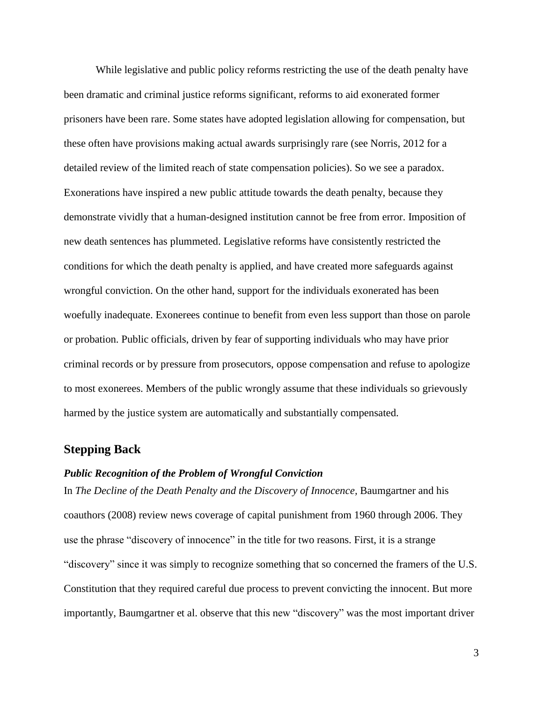While legislative and public policy reforms restricting the use of the death penalty have been dramatic and criminal justice reforms significant, reforms to aid exonerated former prisoners have been rare. Some states have adopted legislation allowing for compensation, but these often have provisions making actual awards surprisingly rare (see Norris, 2012 for a detailed review of the limited reach of state compensation policies). So we see a paradox. Exonerations have inspired a new public attitude towards the death penalty, because they demonstrate vividly that a human-designed institution cannot be free from error. Imposition of new death sentences has plummeted. Legislative reforms have consistently restricted the conditions for which the death penalty is applied, and have created more safeguards against wrongful conviction. On the other hand, support for the individuals exonerated has been woefully inadequate. Exonerees continue to benefit from even less support than those on parole or probation. Public officials, driven by fear of supporting individuals who may have prior criminal records or by pressure from prosecutors, oppose compensation and refuse to apologize to most exonerees. Members of the public wrongly assume that these individuals so grievously harmed by the justice system are automatically and substantially compensated.

#### **Stepping Back**

#### *Public Recognition of the Problem of Wrongful Conviction*

In *The Decline of the Death Penalty and the Discovery of Innocence,* Baumgartner and his coauthors (2008) review news coverage of capital punishment from 1960 through 2006. They use the phrase "discovery of innocence" in the title for two reasons. First, it is a strange "discovery" since it was simply to recognize something that so concerned the framers of the U.S. Constitution that they required careful due process to prevent convicting the innocent. But more importantly, Baumgartner et al. observe that this new "discovery" was the most important driver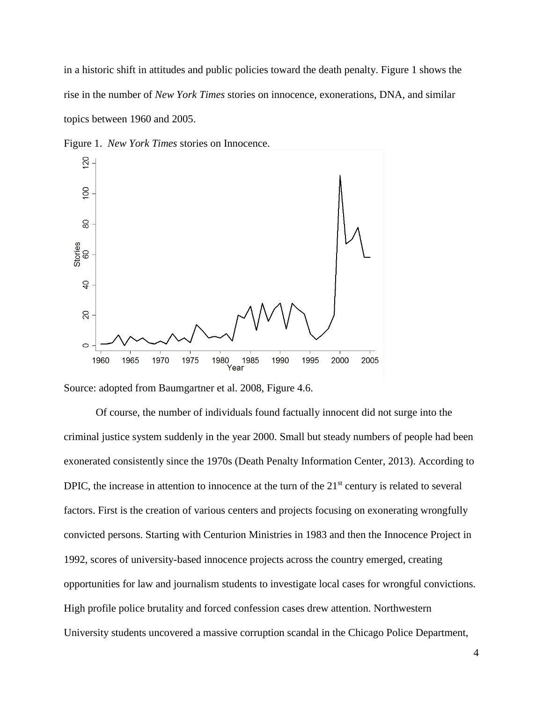in a historic shift in attitudes and public policies toward the death penalty. Figure 1 shows the rise in the number of *New York Times* stories on innocence, exonerations, DNA, and similar topics between 1960 and 2005.



Figure 1. *New York Times* stories on Innocence.

Source: adopted from Baumgartner et al. 2008, Figure 4.6.

Of course, the number of individuals found factually innocent did not surge into the criminal justice system suddenly in the year 2000. Small but steady numbers of people had been exonerated consistently since the 1970s (Death Penalty Information Center, 2013). According to DPIC, the increase in attention to innocence at the turn of the  $21<sup>st</sup>$  century is related to several factors. First is the creation of various centers and projects focusing on exonerating wrongfully convicted persons. Starting with Centurion Ministries in 1983 and then the Innocence Project in 1992, scores of university-based innocence projects across the country emerged, creating opportunities for law and journalism students to investigate local cases for wrongful convictions. High profile police brutality and forced confession cases drew attention. Northwestern University students uncovered a massive corruption scandal in the Chicago Police Department,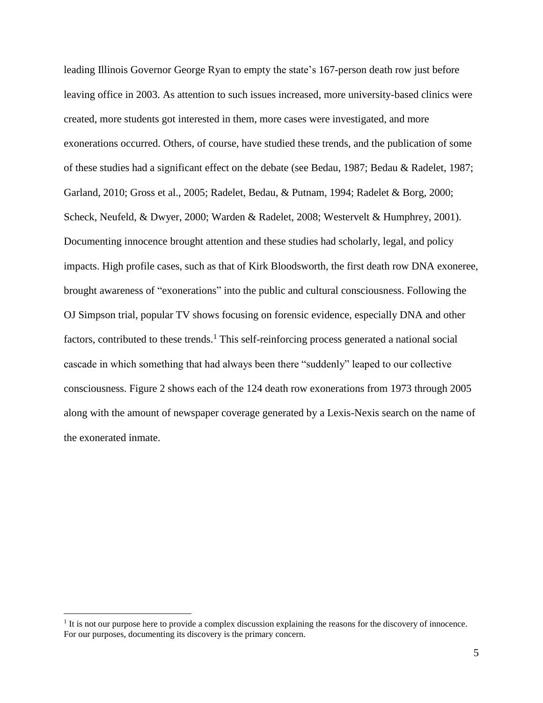leading Illinois Governor George Ryan to empty the state's 167-person death row just before leaving office in 2003. As attention to such issues increased, more university-based clinics were created, more students got interested in them, more cases were investigated, and more exonerations occurred. Others, of course, have studied these trends, and the publication of some of these studies had a significant effect on the debate (see Bedau, 1987; Bedau & Radelet, 1987; Garland, 2010; Gross et al., 2005; Radelet, Bedau, & Putnam, 1994; Radelet & Borg, 2000; Scheck, Neufeld, & Dwyer, 2000; Warden & Radelet, 2008; Westervelt & Humphrey, 2001). Documenting innocence brought attention and these studies had scholarly, legal, and policy impacts. High profile cases, such as that of Kirk Bloodsworth, the first death row DNA exoneree, brought awareness of "exonerations" into the public and cultural consciousness. Following the OJ Simpson trial, popular TV shows focusing on forensic evidence, especially DNA and other factors, contributed to these trends.<sup>1</sup> This self-reinforcing process generated a national social cascade in which something that had always been there "suddenly" leaped to our collective consciousness. Figure 2 shows each of the 124 death row exonerations from 1973 through 2005 along with the amount of newspaper coverage generated by a Lexis-Nexis search on the name of the exonerated inmate.

 $\overline{a}$ 

<sup>&</sup>lt;sup>1</sup> It is not our purpose here to provide a complex discussion explaining the reasons for the discovery of innocence. For our purposes, documenting its discovery is the primary concern.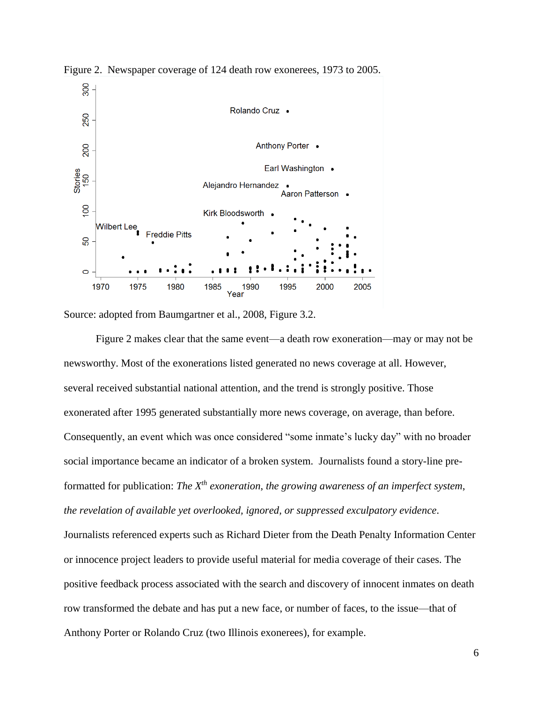

Figure 2. Newspaper coverage of 124 death row exonerees, 1973 to 2005.

Source: adopted from Baumgartner et al., 2008, Figure 3.2.

Figure 2 makes clear that the same event—a death row exoneration—may or may not be newsworthy. Most of the exonerations listed generated no news coverage at all. However, several received substantial national attention, and the trend is strongly positive. Those exonerated after 1995 generated substantially more news coverage, on average, than before. Consequently, an event which was once considered "some inmate's lucky day" with no broader social importance became an indicator of a broken system. Journalists found a story-line preformatted for publication: *The X th exoneration*, *the growing awareness of an imperfect system*, *the revelation of available yet overlooked, ignored, or suppressed exculpatory evidence*. Journalists referenced experts such as Richard Dieter from the Death Penalty Information Center or innocence project leaders to provide useful material for media coverage of their cases. The positive feedback process associated with the search and discovery of innocent inmates on death row transformed the debate and has put a new face, or number of faces, to the issue—that of Anthony Porter or Rolando Cruz (two Illinois exonerees), for example.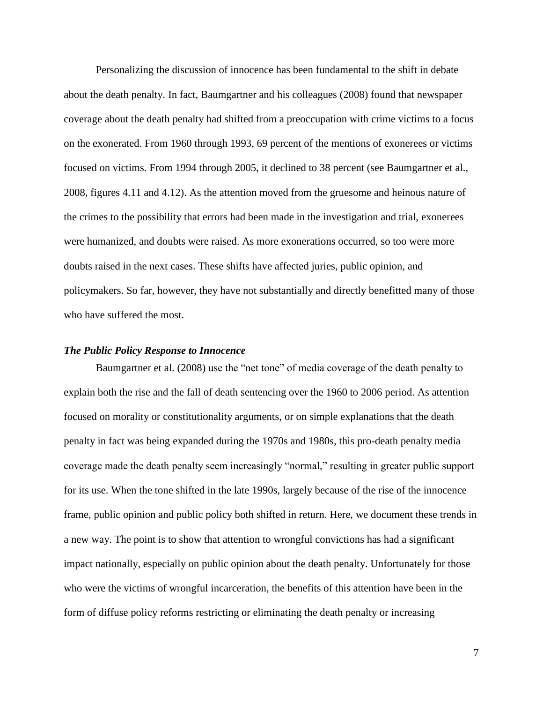Personalizing the discussion of innocence has been fundamental to the shift in debate about the death penalty. In fact, Baumgartner and his colleagues (2008) found that newspaper coverage about the death penalty had shifted from a preoccupation with crime victims to a focus on the exonerated. From 1960 through 1993, 69 percent of the mentions of exonerees or victims focused on victims. From 1994 through 2005, it declined to 38 percent (see Baumgartner et al., 2008, figures 4.11 and 4.12). As the attention moved from the gruesome and heinous nature of the crimes to the possibility that errors had been made in the investigation and trial, exonerees were humanized, and doubts were raised. As more exonerations occurred, so too were more doubts raised in the next cases. These shifts have affected juries, public opinion, and policymakers. So far, however, they have not substantially and directly benefitted many of those who have suffered the most.

#### *The Public Policy Response to Innocence*

Baumgartner et al. (2008) use the "net tone" of media coverage of the death penalty to explain both the rise and the fall of death sentencing over the 1960 to 2006 period. As attention focused on morality or constitutionality arguments, or on simple explanations that the death penalty in fact was being expanded during the 1970s and 1980s, this pro-death penalty media coverage made the death penalty seem increasingly "normal," resulting in greater public support for its use. When the tone shifted in the late 1990s, largely because of the rise of the innocence frame, public opinion and public policy both shifted in return. Here, we document these trends in a new way. The point is to show that attention to wrongful convictions has had a significant impact nationally, especially on public opinion about the death penalty. Unfortunately for those who were the victims of wrongful incarceration, the benefits of this attention have been in the form of diffuse policy reforms restricting or eliminating the death penalty or increasing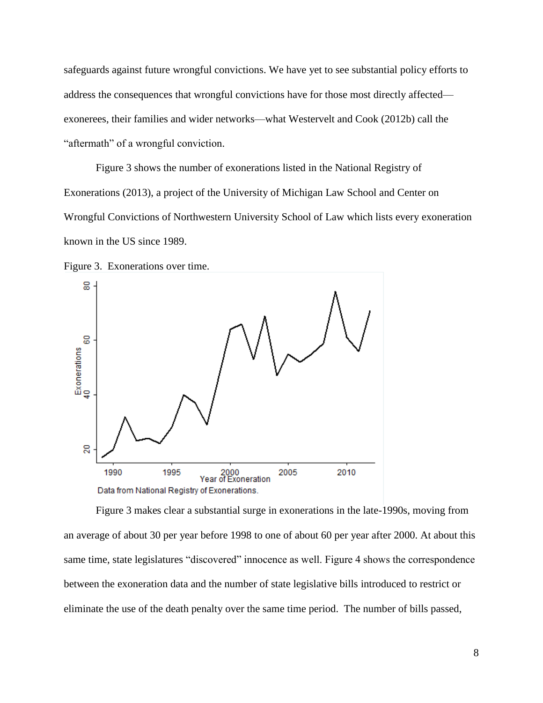safeguards against future wrongful convictions. We have yet to see substantial policy efforts to address the consequences that wrongful convictions have for those most directly affected exonerees, their families and wider networks—what Westervelt and Cook (2012b) call the "aftermath" of a wrongful conviction.

Figure 3 shows the number of exonerations listed in the National Registry of Exonerations (2013), a project of the University of Michigan Law School and Center on Wrongful Convictions of Northwestern University School of Law which lists every exoneration known in the US since 1989.





Figure 3 makes clear a substantial surge in exonerations in the late-1990s, moving from an average of about 30 per year before 1998 to one of about 60 per year after 2000. At about this same time, state legislatures "discovered" innocence as well. Figure 4 shows the correspondence between the exoneration data and the number of state legislative bills introduced to restrict or eliminate the use of the death penalty over the same time period. The number of bills passed,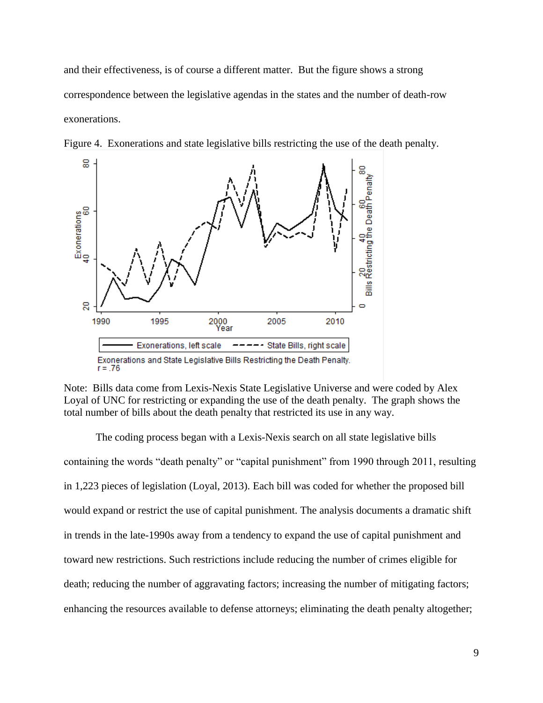and their effectiveness, is of course a different matter. But the figure shows a strong correspondence between the legislative agendas in the states and the number of death-row exonerations.



Figure 4. Exonerations and state legislative bills restricting the use of the death penalty.

Note: Bills data come from Lexis-Nexis State Legislative Universe and were coded by Alex Loyal of UNC for restricting or expanding the use of the death penalty. The graph shows the total number of bills about the death penalty that restricted its use in any way.

The coding process began with a Lexis-Nexis search on all state legislative bills containing the words "death penalty" or "capital punishment" from 1990 through 2011, resulting in 1,223 pieces of legislation (Loyal, 2013). Each bill was coded for whether the proposed bill would expand or restrict the use of capital punishment. The analysis documents a dramatic shift in trends in the late-1990s away from a tendency to expand the use of capital punishment and toward new restrictions. Such restrictions include reducing the number of crimes eligible for death; reducing the number of aggravating factors; increasing the number of mitigating factors; enhancing the resources available to defense attorneys; eliminating the death penalty altogether;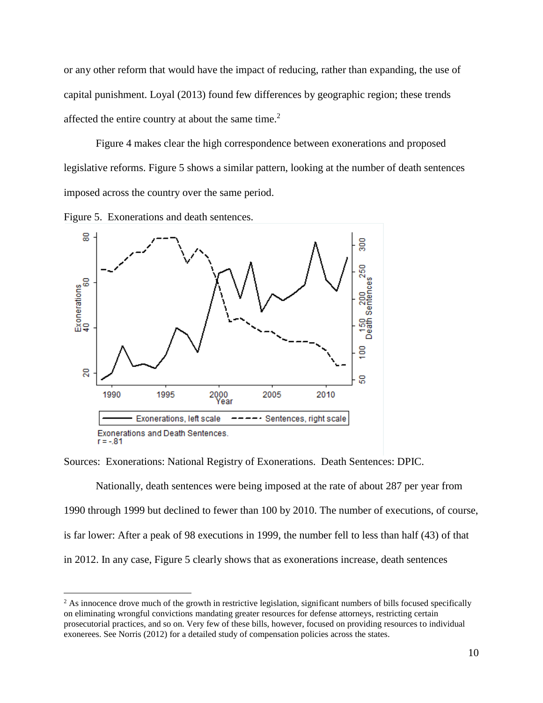or any other reform that would have the impact of reducing, rather than expanding, the use of capital punishment. Loyal (2013) found few differences by geographic region; these trends affected the entire country at about the same time.<sup>2</sup>

Figure 4 makes clear the high correspondence between exonerations and proposed legislative reforms. Figure 5 shows a similar pattern, looking at the number of death sentences imposed across the country over the same period.



 $\overline{a}$ 



Sources: Exonerations: National Registry of Exonerations. Death Sentences: DPIC.

Nationally, death sentences were being imposed at the rate of about 287 per year from 1990 through 1999 but declined to fewer than 100 by 2010. The number of executions, of course, is far lower: After a peak of 98 executions in 1999, the number fell to less than half (43) of that in 2012. In any case, Figure 5 clearly shows that as exonerations increase, death sentences

 $<sup>2</sup>$  As innocence drove much of the growth in restrictive legislation, significant numbers of bills focused specifically</sup> on eliminating wrongful convictions mandating greater resources for defense attorneys, restricting certain prosecutorial practices, and so on. Very few of these bills, however, focused on providing resources to individual exonerees. See Norris (2012) for a detailed study of compensation policies across the states.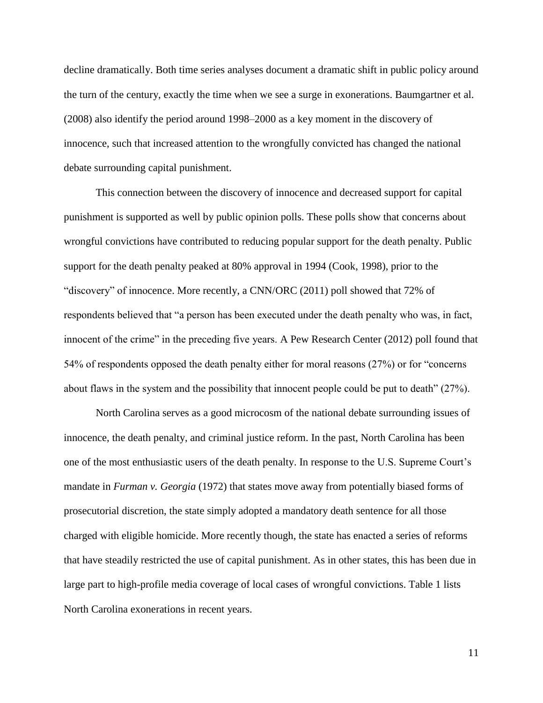decline dramatically. Both time series analyses document a dramatic shift in public policy around the turn of the century, exactly the time when we see a surge in exonerations. Baumgartner et al. (2008) also identify the period around 1998–2000 as a key moment in the discovery of innocence, such that increased attention to the wrongfully convicted has changed the national debate surrounding capital punishment.

This connection between the discovery of innocence and decreased support for capital punishment is supported as well by public opinion polls. These polls show that concerns about wrongful convictions have contributed to reducing popular support for the death penalty. Public support for the death penalty peaked at 80% approval in 1994 (Cook, 1998), prior to the "discovery" of innocence. More recently, a CNN/ORC (2011) poll showed that 72% of respondents believed that "a person has been executed under the death penalty who was, in fact, innocent of the crime" in the preceding five years. A Pew Research Center (2012) poll found that 54% of respondents opposed the death penalty either for moral reasons (27%) or for "concerns about flaws in the system and the possibility that innocent people could be put to death" (27%).

North Carolina serves as a good microcosm of the national debate surrounding issues of innocence, the death penalty, and criminal justice reform. In the past, North Carolina has been one of the most enthusiastic users of the death penalty. In response to the U.S. Supreme Court's mandate in *Furman v. Georgia* (1972) that states move away from potentially biased forms of prosecutorial discretion, the state simply adopted a mandatory death sentence for all those charged with eligible homicide. More recently though, the state has enacted a series of reforms that have steadily restricted the use of capital punishment. As in other states, this has been due in large part to high-profile media coverage of local cases of wrongful convictions. Table 1 lists North Carolina exonerations in recent years.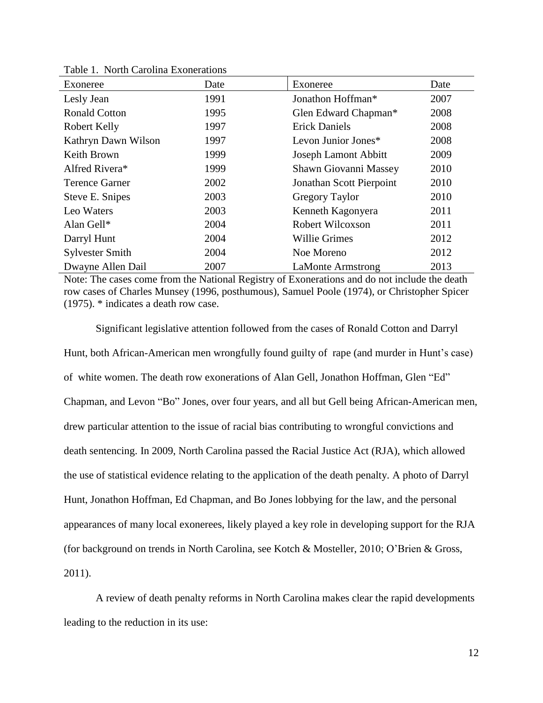| Exoneree               | Date | Exoneree                    | Date |
|------------------------|------|-----------------------------|------|
| Lesly Jean             | 1991 | Jonathon Hoffman*           | 2007 |
| <b>Ronald Cotton</b>   | 1995 | Glen Edward Chapman*        | 2008 |
| Robert Kelly           | 1997 | <b>Erick Daniels</b>        | 2008 |
| Kathryn Dawn Wilson    | 1997 | Levon Junior Jones*         | 2008 |
| Keith Brown            | 1999 | <b>Joseph Lamont Abbitt</b> | 2009 |
| Alfred Rivera*         | 1999 | Shawn Giovanni Massey       | 2010 |
| <b>Terence Garner</b>  | 2002 | Jonathan Scott Pierpoint    | 2010 |
| Steve E. Snipes        | 2003 | Gregory Taylor              | 2010 |
| Leo Waters             | 2003 | Kenneth Kagonyera           | 2011 |
| Alan Gell*             | 2004 | Robert Wilcoxson            | 2011 |
| Darryl Hunt            | 2004 | Willie Grimes               | 2012 |
| <b>Sylvester Smith</b> | 2004 | Noe Moreno                  | 2012 |
| Dwayne Allen Dail      | 2007 | <b>LaMonte Armstrong</b>    | 2013 |

Table 1. North Carolina Exonerations

Note: The cases come from the National Registry of Exonerations and do not include the death row cases of Charles Munsey (1996, posthumous), Samuel Poole (1974), or Christopher Spicer (1975). \* indicates a death row case.

Significant legislative attention followed from the cases of Ronald Cotton and Darryl Hunt, both African-American men wrongfully found guilty of rape (and murder in Hunt's case) of white women. The death row exonerations of Alan Gell, Jonathon Hoffman, Glen "Ed" Chapman, and Levon "Bo" Jones, over four years, and all but Gell being African-American men, drew particular attention to the issue of racial bias contributing to wrongful convictions and death sentencing. In 2009, North Carolina passed the Racial Justice Act (RJA), which allowed the use of statistical evidence relating to the application of the death penalty. A photo of Darryl Hunt, Jonathon Hoffman, Ed Chapman, and Bo Jones lobbying for the law, and the personal appearances of many local exonerees, likely played a key role in developing support for the RJA (for background on trends in North Carolina, see Kotch & Mosteller, 2010; O'Brien & Gross, 2011).

A review of death penalty reforms in North Carolina makes clear the rapid developments leading to the reduction in its use: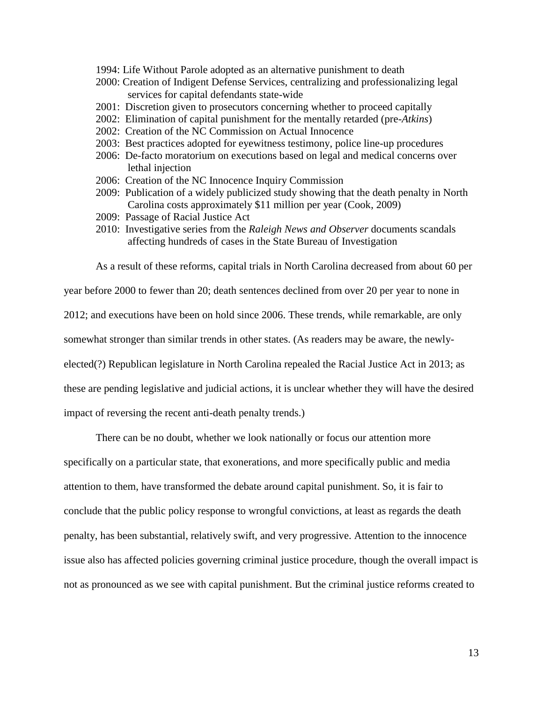- 1994: Life Without Parole adopted as an alternative punishment to death
- 2000: Creation of Indigent Defense Services, centralizing and professionalizing legal services for capital defendants state-wide
- 2001: Discretion given to prosecutors concerning whether to proceed capitally
- 2002: Elimination of capital punishment for the mentally retarded (pre-*Atkins*)
- 2002: Creation of the NC Commission on Actual Innocence
- 2003: Best practices adopted for eyewitness testimony, police line-up procedures
- 2006: De-facto moratorium on executions based on legal and medical concerns over lethal injection
- 2006: Creation of the NC Innocence Inquiry Commission
- 2009: Publication of a widely publicized study showing that the death penalty in North Carolina costs approximately \$11 million per year (Cook, 2009)
- 2009: Passage of Racial Justice Act
- 2010: Investigative series from the *Raleigh News and Observer* documents scandals affecting hundreds of cases in the State Bureau of Investigation

As a result of these reforms, capital trials in North Carolina decreased from about 60 per

year before 2000 to fewer than 20; death sentences declined from over 20 per year to none in 2012; and executions have been on hold since 2006. These trends, while remarkable, are only somewhat stronger than similar trends in other states. (As readers may be aware, the newlyelected(?) Republican legislature in North Carolina repealed the Racial Justice Act in 2013; as these are pending legislative and judicial actions, it is unclear whether they will have the desired impact of reversing the recent anti-death penalty trends.)

There can be no doubt, whether we look nationally or focus our attention more

specifically on a particular state, that exonerations, and more specifically public and media attention to them, have transformed the debate around capital punishment. So, it is fair to conclude that the public policy response to wrongful convictions, at least as regards the death penalty, has been substantial, relatively swift, and very progressive. Attention to the innocence issue also has affected policies governing criminal justice procedure, though the overall impact is not as pronounced as we see with capital punishment. But the criminal justice reforms created to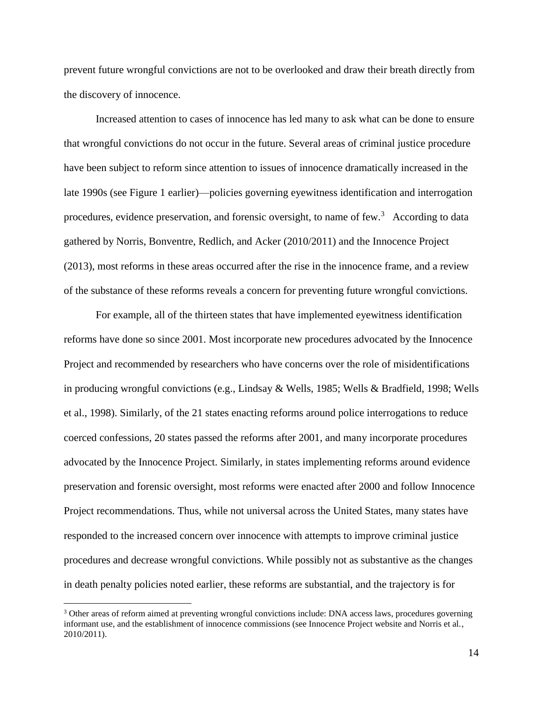prevent future wrongful convictions are not to be overlooked and draw their breath directly from the discovery of innocence.

Increased attention to cases of innocence has led many to ask what can be done to ensure that wrongful convictions do not occur in the future. Several areas of criminal justice procedure have been subject to reform since attention to issues of innocence dramatically increased in the late 1990s (see Figure 1 earlier)—policies governing eyewitness identification and interrogation procedures, evidence preservation, and forensic oversight, to name of few.<sup>3</sup> According to data gathered by Norris, Bonventre, Redlich, and Acker (2010/2011) and the Innocence Project (2013), most reforms in these areas occurred after the rise in the innocence frame, and a review of the substance of these reforms reveals a concern for preventing future wrongful convictions.

For example, all of the thirteen states that have implemented eyewitness identification reforms have done so since 2001. Most incorporate new procedures advocated by the Innocence Project and recommended by researchers who have concerns over the role of misidentifications in producing wrongful convictions (e.g., Lindsay & Wells, 1985; Wells & Bradfield, 1998; Wells et al., 1998). Similarly, of the 21 states enacting reforms around police interrogations to reduce coerced confessions, 20 states passed the reforms after 2001, and many incorporate procedures advocated by the Innocence Project. Similarly, in states implementing reforms around evidence preservation and forensic oversight, most reforms were enacted after 2000 and follow Innocence Project recommendations. Thus, while not universal across the United States, many states have responded to the increased concern over innocence with attempts to improve criminal justice procedures and decrease wrongful convictions. While possibly not as substantive as the changes in death penalty policies noted earlier, these reforms are substantial, and the trajectory is for

 $\overline{a}$ 

<sup>3</sup> Other areas of reform aimed at preventing wrongful convictions include: DNA access laws, procedures governing informant use, and the establishment of innocence commissions (see Innocence Project website and Norris et al., 2010/2011).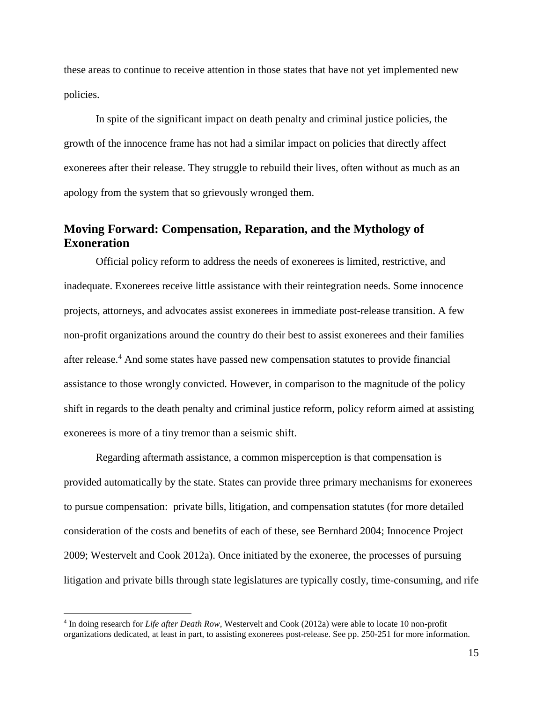these areas to continue to receive attention in those states that have not yet implemented new policies.

In spite of the significant impact on death penalty and criminal justice policies, the growth of the innocence frame has not had a similar impact on policies that directly affect exonerees after their release. They struggle to rebuild their lives, often without as much as an apology from the system that so grievously wronged them.

# **Moving Forward: Compensation, Reparation, and the Mythology of Exoneration**

Official policy reform to address the needs of exonerees is limited, restrictive, and inadequate. Exonerees receive little assistance with their reintegration needs. Some innocence projects, attorneys, and advocates assist exonerees in immediate post-release transition. A few non-profit organizations around the country do their best to assist exonerees and their families after release.<sup>4</sup> And some states have passed new compensation statutes to provide financial assistance to those wrongly convicted. However, in comparison to the magnitude of the policy shift in regards to the death penalty and criminal justice reform, policy reform aimed at assisting exonerees is more of a tiny tremor than a seismic shift.

Regarding aftermath assistance, a common misperception is that compensation is provided automatically by the state. States can provide three primary mechanisms for exonerees to pursue compensation: private bills, litigation, and compensation statutes (for more detailed consideration of the costs and benefits of each of these, see Bernhard 2004; Innocence Project 2009; Westervelt and Cook 2012a). Once initiated by the exoneree, the processes of pursuing litigation and private bills through state legislatures are typically costly, time-consuming, and rife

 $\overline{a}$ 

<sup>4</sup> In doing research for *Life after Death Row*, Westervelt and Cook (2012a) were able to locate 10 non-profit organizations dedicated, at least in part, to assisting exonerees post-release. See pp. 250-251 for more information.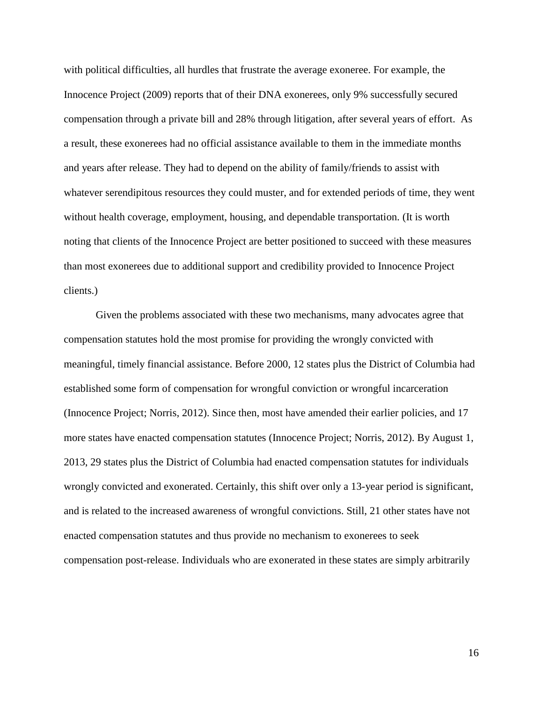with political difficulties, all hurdles that frustrate the average exoneree. For example, the Innocence Project (2009) reports that of their DNA exonerees, only 9% successfully secured compensation through a private bill and 28% through litigation, after several years of effort. As a result, these exonerees had no official assistance available to them in the immediate months and years after release. They had to depend on the ability of family/friends to assist with whatever serendipitous resources they could muster, and for extended periods of time, they went without health coverage, employment, housing, and dependable transportation. (It is worth noting that clients of the Innocence Project are better positioned to succeed with these measures than most exonerees due to additional support and credibility provided to Innocence Project clients.)

Given the problems associated with these two mechanisms, many advocates agree that compensation statutes hold the most promise for providing the wrongly convicted with meaningful, timely financial assistance. Before 2000, 12 states plus the District of Columbia had established some form of compensation for wrongful conviction or wrongful incarceration (Innocence Project; Norris, 2012). Since then, most have amended their earlier policies, and 17 more states have enacted compensation statutes (Innocence Project; Norris, 2012). By August 1, 2013, 29 states plus the District of Columbia had enacted compensation statutes for individuals wrongly convicted and exonerated. Certainly, this shift over only a 13-year period is significant, and is related to the increased awareness of wrongful convictions. Still, 21 other states have not enacted compensation statutes and thus provide no mechanism to exonerees to seek compensation post-release. Individuals who are exonerated in these states are simply arbitrarily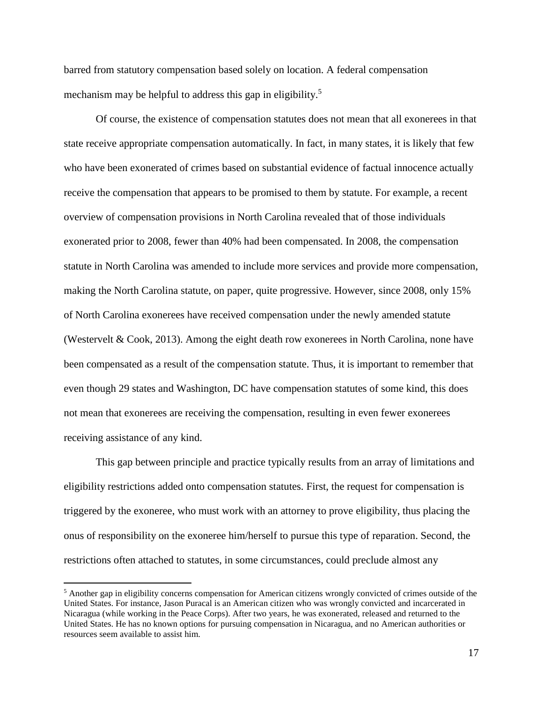barred from statutory compensation based solely on location. A federal compensation mechanism may be helpful to address this gap in eligibility.<sup>5</sup>

Of course, the existence of compensation statutes does not mean that all exonerees in that state receive appropriate compensation automatically. In fact, in many states, it is likely that few who have been exonerated of crimes based on substantial evidence of factual innocence actually receive the compensation that appears to be promised to them by statute. For example, a recent overview of compensation provisions in North Carolina revealed that of those individuals exonerated prior to 2008, fewer than 40% had been compensated. In 2008, the compensation statute in North Carolina was amended to include more services and provide more compensation, making the North Carolina statute, on paper, quite progressive. However, since 2008, only 15% of North Carolina exonerees have received compensation under the newly amended statute (Westervelt & Cook, 2013). Among the eight death row exonerees in North Carolina, none have been compensated as a result of the compensation statute. Thus, it is important to remember that even though 29 states and Washington, DC have compensation statutes of some kind, this does not mean that exonerees are receiving the compensation, resulting in even fewer exonerees receiving assistance of any kind.

This gap between principle and practice typically results from an array of limitations and eligibility restrictions added onto compensation statutes. First, the request for compensation is triggered by the exoneree, who must work with an attorney to prove eligibility, thus placing the onus of responsibility on the exoneree him/herself to pursue this type of reparation. Second, the restrictions often attached to statutes, in some circumstances, could preclude almost any

 $\overline{a}$ 

<sup>5</sup> Another gap in eligibility concerns compensation for American citizens wrongly convicted of crimes outside of the United States. For instance, Jason Puracal is an American citizen who was wrongly convicted and incarcerated in Nicaragua (while working in the Peace Corps). After two years, he was exonerated, released and returned to the United States. He has no known options for pursuing compensation in Nicaragua, and no American authorities or resources seem available to assist him.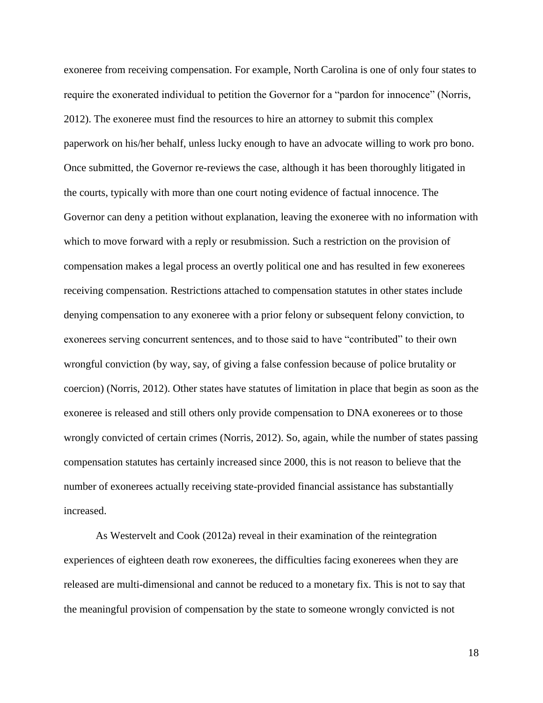exoneree from receiving compensation. For example, North Carolina is one of only four states to require the exonerated individual to petition the Governor for a "pardon for innocence" (Norris, 2012). The exoneree must find the resources to hire an attorney to submit this complex paperwork on his/her behalf, unless lucky enough to have an advocate willing to work pro bono. Once submitted, the Governor re-reviews the case, although it has been thoroughly litigated in the courts, typically with more than one court noting evidence of factual innocence. The Governor can deny a petition without explanation, leaving the exoneree with no information with which to move forward with a reply or resubmission. Such a restriction on the provision of compensation makes a legal process an overtly political one and has resulted in few exonerees receiving compensation. Restrictions attached to compensation statutes in other states include denying compensation to any exoneree with a prior felony or subsequent felony conviction, to exonerees serving concurrent sentences, and to those said to have "contributed" to their own wrongful conviction (by way, say, of giving a false confession because of police brutality or coercion) (Norris, 2012). Other states have statutes of limitation in place that begin as soon as the exoneree is released and still others only provide compensation to DNA exonerees or to those wrongly convicted of certain crimes (Norris, 2012). So, again, while the number of states passing compensation statutes has certainly increased since 2000, this is not reason to believe that the number of exonerees actually receiving state-provided financial assistance has substantially increased.

As Westervelt and Cook (2012a) reveal in their examination of the reintegration experiences of eighteen death row exonerees, the difficulties facing exonerees when they are released are multi-dimensional and cannot be reduced to a monetary fix. This is not to say that the meaningful provision of compensation by the state to someone wrongly convicted is not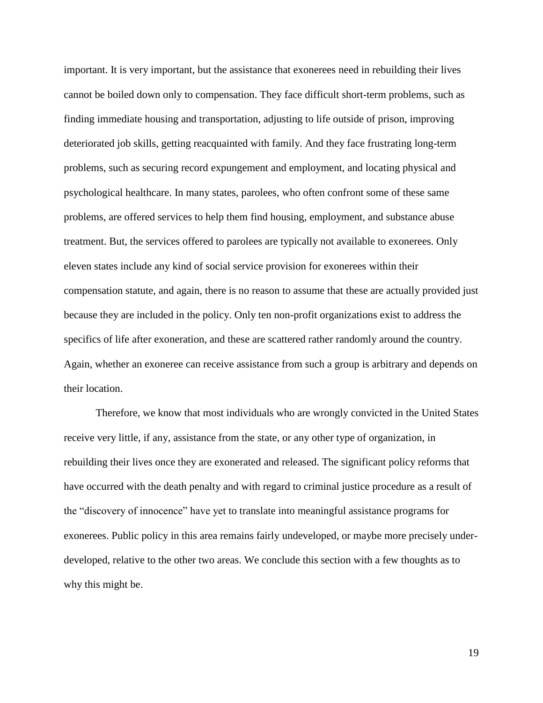important. It is very important, but the assistance that exonerees need in rebuilding their lives cannot be boiled down only to compensation. They face difficult short-term problems, such as finding immediate housing and transportation, adjusting to life outside of prison, improving deteriorated job skills, getting reacquainted with family. And they face frustrating long-term problems, such as securing record expungement and employment, and locating physical and psychological healthcare. In many states, parolees, who often confront some of these same problems, are offered services to help them find housing, employment, and substance abuse treatment. But, the services offered to parolees are typically not available to exonerees. Only eleven states include any kind of social service provision for exonerees within their compensation statute, and again, there is no reason to assume that these are actually provided just because they are included in the policy. Only ten non-profit organizations exist to address the specifics of life after exoneration, and these are scattered rather randomly around the country. Again, whether an exoneree can receive assistance from such a group is arbitrary and depends on their location.

Therefore, we know that most individuals who are wrongly convicted in the United States receive very little, if any, assistance from the state, or any other type of organization, in rebuilding their lives once they are exonerated and released. The significant policy reforms that have occurred with the death penalty and with regard to criminal justice procedure as a result of the "discovery of innocence" have yet to translate into meaningful assistance programs for exonerees. Public policy in this area remains fairly undeveloped, or maybe more precisely underdeveloped, relative to the other two areas. We conclude this section with a few thoughts as to why this might be.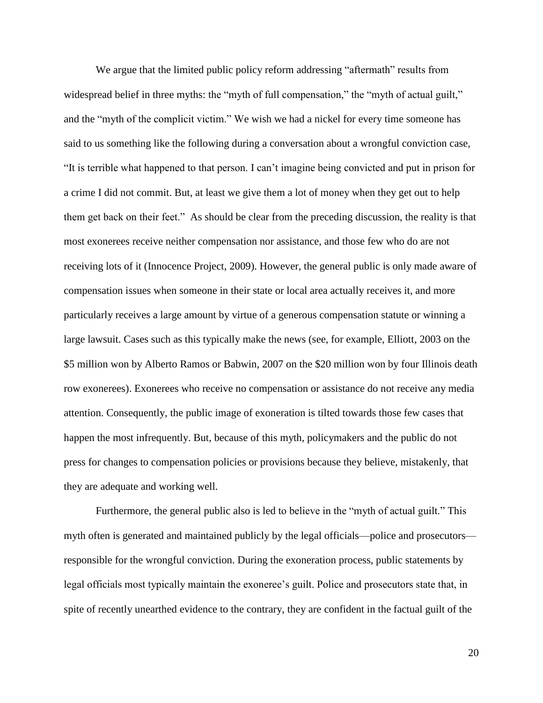We argue that the limited public policy reform addressing "aftermath" results from widespread belief in three myths: the "myth of full compensation," the "myth of actual guilt," and the "myth of the complicit victim." We wish we had a nickel for every time someone has said to us something like the following during a conversation about a wrongful conviction case, "It is terrible what happened to that person. I can't imagine being convicted and put in prison for a crime I did not commit. But, at least we give them a lot of money when they get out to help them get back on their feet." As should be clear from the preceding discussion, the reality is that most exonerees receive neither compensation nor assistance, and those few who do are not receiving lots of it (Innocence Project, 2009). However, the general public is only made aware of compensation issues when someone in their state or local area actually receives it, and more particularly receives a large amount by virtue of a generous compensation statute or winning a large lawsuit. Cases such as this typically make the news (see, for example, Elliott, 2003 on the \$5 million won by Alberto Ramos or Babwin, 2007 on the \$20 million won by four Illinois death row exonerees). Exonerees who receive no compensation or assistance do not receive any media attention. Consequently, the public image of exoneration is tilted towards those few cases that happen the most infrequently. But, because of this myth, policymakers and the public do not press for changes to compensation policies or provisions because they believe, mistakenly, that they are adequate and working well.

Furthermore, the general public also is led to believe in the "myth of actual guilt." This myth often is generated and maintained publicly by the legal officials—police and prosecutors responsible for the wrongful conviction. During the exoneration process, public statements by legal officials most typically maintain the exoneree's guilt. Police and prosecutors state that, in spite of recently unearthed evidence to the contrary, they are confident in the factual guilt of the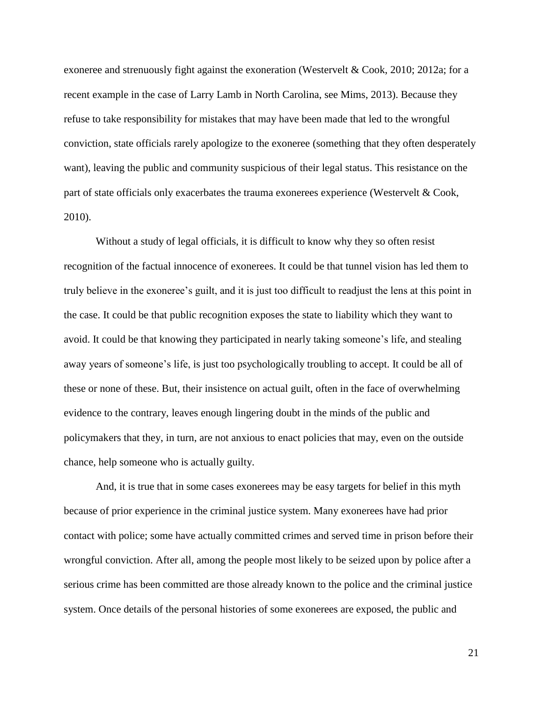exoneree and strenuously fight against the exoneration (Westervelt & Cook, 2010; 2012a; for a recent example in the case of Larry Lamb in North Carolina, see Mims, 2013). Because they refuse to take responsibility for mistakes that may have been made that led to the wrongful conviction, state officials rarely apologize to the exoneree (something that they often desperately want), leaving the public and community suspicious of their legal status. This resistance on the part of state officials only exacerbates the trauma exonerees experience (Westervelt & Cook, 2010).

Without a study of legal officials, it is difficult to know why they so often resist recognition of the factual innocence of exonerees. It could be that tunnel vision has led them to truly believe in the exoneree's guilt, and it is just too difficult to readjust the lens at this point in the case. It could be that public recognition exposes the state to liability which they want to avoid. It could be that knowing they participated in nearly taking someone's life, and stealing away years of someone's life, is just too psychologically troubling to accept. It could be all of these or none of these. But, their insistence on actual guilt, often in the face of overwhelming evidence to the contrary, leaves enough lingering doubt in the minds of the public and policymakers that they, in turn, are not anxious to enact policies that may, even on the outside chance, help someone who is actually guilty.

And, it is true that in some cases exonerees may be easy targets for belief in this myth because of prior experience in the criminal justice system. Many exonerees have had prior contact with police; some have actually committed crimes and served time in prison before their wrongful conviction. After all, among the people most likely to be seized upon by police after a serious crime has been committed are those already known to the police and the criminal justice system. Once details of the personal histories of some exonerees are exposed, the public and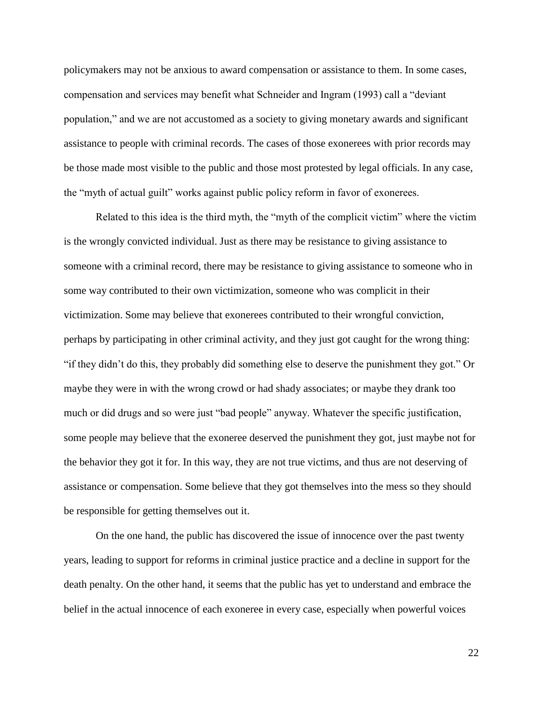policymakers may not be anxious to award compensation or assistance to them. In some cases, compensation and services may benefit what Schneider and Ingram (1993) call a "deviant population," and we are not accustomed as a society to giving monetary awards and significant assistance to people with criminal records. The cases of those exonerees with prior records may be those made most visible to the public and those most protested by legal officials. In any case, the "myth of actual guilt" works against public policy reform in favor of exonerees.

Related to this idea is the third myth, the "myth of the complicit victim" where the victim is the wrongly convicted individual. Just as there may be resistance to giving assistance to someone with a criminal record, there may be resistance to giving assistance to someone who in some way contributed to their own victimization, someone who was complicit in their victimization. Some may believe that exonerees contributed to their wrongful conviction, perhaps by participating in other criminal activity, and they just got caught for the wrong thing: "if they didn't do this, they probably did something else to deserve the punishment they got." Or maybe they were in with the wrong crowd or had shady associates; or maybe they drank too much or did drugs and so were just "bad people" anyway. Whatever the specific justification, some people may believe that the exoneree deserved the punishment they got, just maybe not for the behavior they got it for. In this way, they are not true victims, and thus are not deserving of assistance or compensation. Some believe that they got themselves into the mess so they should be responsible for getting themselves out it.

On the one hand, the public has discovered the issue of innocence over the past twenty years, leading to support for reforms in criminal justice practice and a decline in support for the death penalty. On the other hand, it seems that the public has yet to understand and embrace the belief in the actual innocence of each exoneree in every case, especially when powerful voices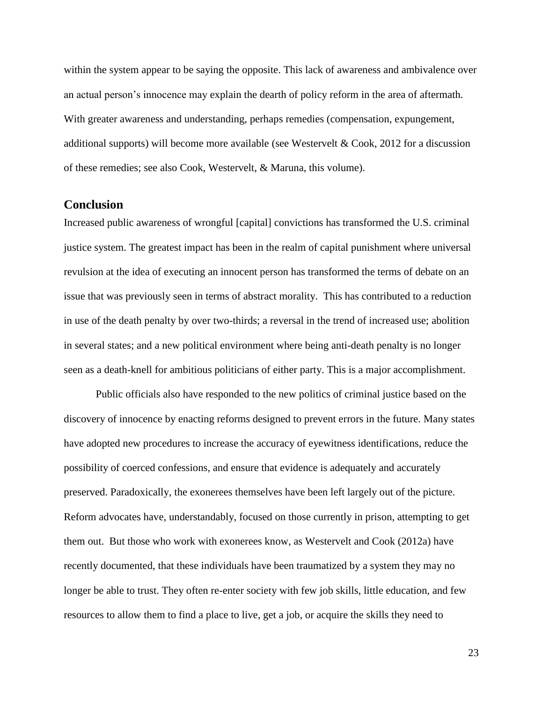within the system appear to be saying the opposite. This lack of awareness and ambivalence over an actual person's innocence may explain the dearth of policy reform in the area of aftermath. With greater awareness and understanding, perhaps remedies (compensation, expungement, additional supports) will become more available (see Westervelt & Cook, 2012 for a discussion of these remedies; see also Cook, Westervelt, & Maruna, this volume).

### **Conclusion**

Increased public awareness of wrongful [capital] convictions has transformed the U.S. criminal justice system. The greatest impact has been in the realm of capital punishment where universal revulsion at the idea of executing an innocent person has transformed the terms of debate on an issue that was previously seen in terms of abstract morality. This has contributed to a reduction in use of the death penalty by over two-thirds; a reversal in the trend of increased use; abolition in several states; and a new political environment where being anti-death penalty is no longer seen as a death-knell for ambitious politicians of either party. This is a major accomplishment.

Public officials also have responded to the new politics of criminal justice based on the discovery of innocence by enacting reforms designed to prevent errors in the future. Many states have adopted new procedures to increase the accuracy of eyewitness identifications, reduce the possibility of coerced confessions, and ensure that evidence is adequately and accurately preserved. Paradoxically, the exonerees themselves have been left largely out of the picture. Reform advocates have, understandably, focused on those currently in prison, attempting to get them out. But those who work with exonerees know, as Westervelt and Cook (2012a) have recently documented, that these individuals have been traumatized by a system they may no longer be able to trust. They often re-enter society with few job skills, little education, and few resources to allow them to find a place to live, get a job, or acquire the skills they need to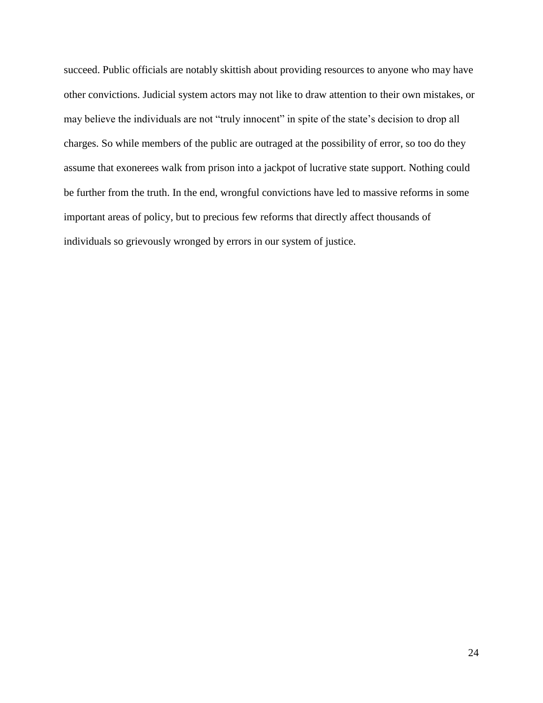succeed. Public officials are notably skittish about providing resources to anyone who may have other convictions. Judicial system actors may not like to draw attention to their own mistakes, or may believe the individuals are not "truly innocent" in spite of the state's decision to drop all charges. So while members of the public are outraged at the possibility of error, so too do they assume that exonerees walk from prison into a jackpot of lucrative state support. Nothing could be further from the truth. In the end, wrongful convictions have led to massive reforms in some important areas of policy, but to precious few reforms that directly affect thousands of individuals so grievously wronged by errors in our system of justice.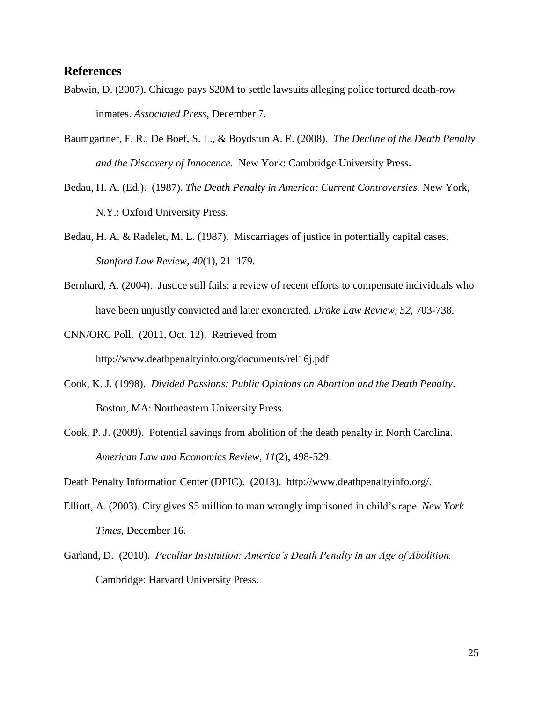# **References**

- Babwin, D. (2007). Chicago pays \$20M to settle lawsuits alleging police tortured death-row inmates. *Associated Press*, December 7.
- Baumgartner, F. R., De Boef, S. L., & Boydstun A. E. (2008). *The Decline of the Death Penalty and the Discovery of Innocence.* New York: Cambridge University Press.
- Bedau, H. A. (Ed.). (1987). *The Death Penalty in America: Current Controversies.* New York, N.Y.: Oxford University Press.
- Bedau, H. A. & Radelet, M. L. (1987). Miscarriages of justice in potentially capital cases. *Stanford Law Review, 40*(1), 21–179.
- Bernhard, A. (2004). Justice still fails: a review of recent efforts to compensate individuals who have been unjustly convicted and later exonerated. *Drake Law Review, 52*, 703-738.

CNN/ORC Poll. (2011, Oct. 12). Retrieved from http://www.deathpenaltyinfo.org/documents/rel16j.pdf

- Cook, K. J. (1998). *Divided Passions: Public Opinions on Abortion and the Death Penalty*. Boston, MA: Northeastern University Press.
- Cook, P. J. (2009). Potential savings from abolition of the death penalty in North Carolina. *American Law and Economics Review, 11*(2), 498-529.

Death Penalty Information Center (DPIC). (2013). http://www.deathpenaltyinfo.org/.

- Elliott, A. (2003). City gives \$5 million to man wrongly imprisoned in child's rape. *New York Times*, December 16.
- Garland, D. (2010). *Peculiar Institution: America's Death Penalty in an Age of Abolition.* Cambridge: Harvard University Press.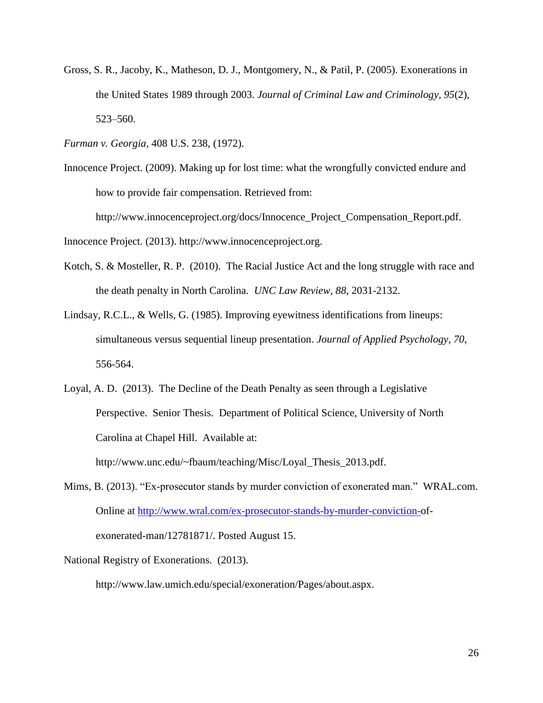- Gross, S. R., Jacoby, K., Matheson, D. J., Montgomery, N., & Patil, P. (2005). Exonerations in the United States 1989 through 2003. *Journal of Criminal Law and Criminology, 95*(2), 523–560.
- *Furman v. Georgia*, 408 U.S. 238, (1972).

Innocence Project. (2009). Making up for lost time: what the wrongfully convicted endure and how to provide fair compensation. Retrieved from:

http://www.innocenceproject.org/docs/Innocence\_Project\_Compensation\_Report.pdf.

Innocence Project. (2013). http://www.innocenceproject.org.

- Kotch, S. & Mosteller, R. P. (2010). The Racial Justice Act and the long struggle with race and the death penalty in North Carolina. *UNC Law Review, 88*, 2031-2132.
- Lindsay, R.C.L., & Wells, G. (1985). Improving eyewitness identifications from lineups: simultaneous versus sequential lineup presentation. *Journal of Applied Psychology, 70*, 556-564.
- Loyal, A. D. (2013). The Decline of the Death Penalty as seen through a Legislative Perspective. Senior Thesis. Department of Political Science, University of North Carolina at Chapel Hill. Available at: http://www.unc.edu/~fbaum/teaching/Misc/Loyal\_Thesis\_2013.pdf.
- Mims, B. (2013). "Ex-prosecutor stands by murder conviction of exonerated man." WRAL.com. Online at [http://www.wral.com/ex-prosecutor-stands-by-murder-conviction-o](http://www.wral.com/ex-prosecutor-stands-by-murder-conviction-)fexonerated-man/12781871/. Posted August 15.

National Registry of Exonerations. (2013).

http://www.law.umich.edu/special/exoneration/Pages/about.aspx.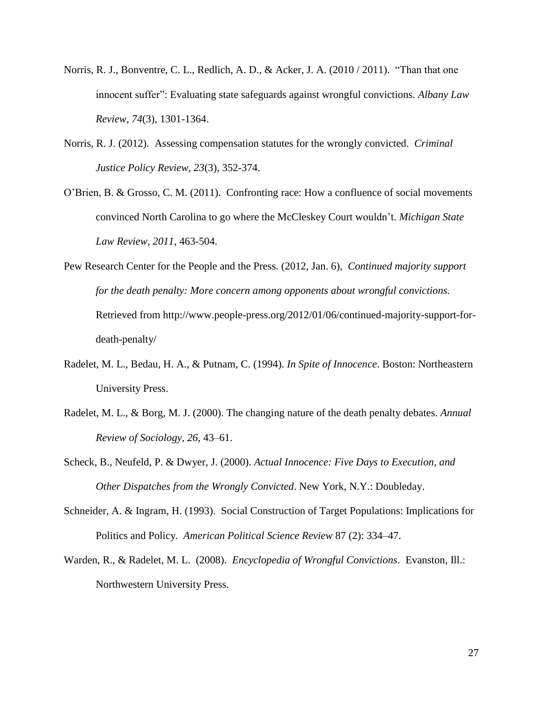- Norris, R. J., Bonventre, C. L., Redlich, A. D., & Acker, J. A. (2010 / 2011). "Than that one innocent suffer": Evaluating state safeguards against wrongful convictions. *Albany Law Review, 74*(3), 1301-1364.
- Norris, R. J. (2012). Assessing compensation statutes for the wrongly convicted. *Criminal Justice Policy Review, 23*(3), 352-374.
- O'Brien, B. & Grosso, C. M. (2011). Confronting race: How a confluence of social movements convinced North Carolina to go where the McCleskey Court wouldn't. *Michigan State Law Review, 2011*, 463-504.
- Pew Research Center for the People and the Press. (2012, Jan. 6), *Continued majority support for the death penalty: More concern among opponents about wrongful convictions.* Retrieved from http://www.people-press.org/2012/01/06/continued-majority-support-fordeath-penalty/
- Radelet, M. L., Bedau, H. A., & Putnam, C. (1994). *In Spite of Innocence*. Boston: Northeastern University Press.
- Radelet, M. L., & Borg, M. J. (2000). The changing nature of the death penalty debates. *Annual Review of Sociology, 26*, 43–61.
- Scheck, B., Neufeld, P. & Dwyer, J. (2000). *Actual Innocence: Five Days to Execution, and Other Dispatches from the Wrongly Convicted*. New York, N.Y.: Doubleday.
- Schneider, A. & Ingram, H. (1993). Social Construction of Target Populations: Implications for Politics and Policy. *American Political Science Review* 87 (2): 334–47.
- Warden, R., & Radelet, M. L. (2008). *Encyclopedia of Wrongful Convictions*. Evanston, Ill.: Northwestern University Press.